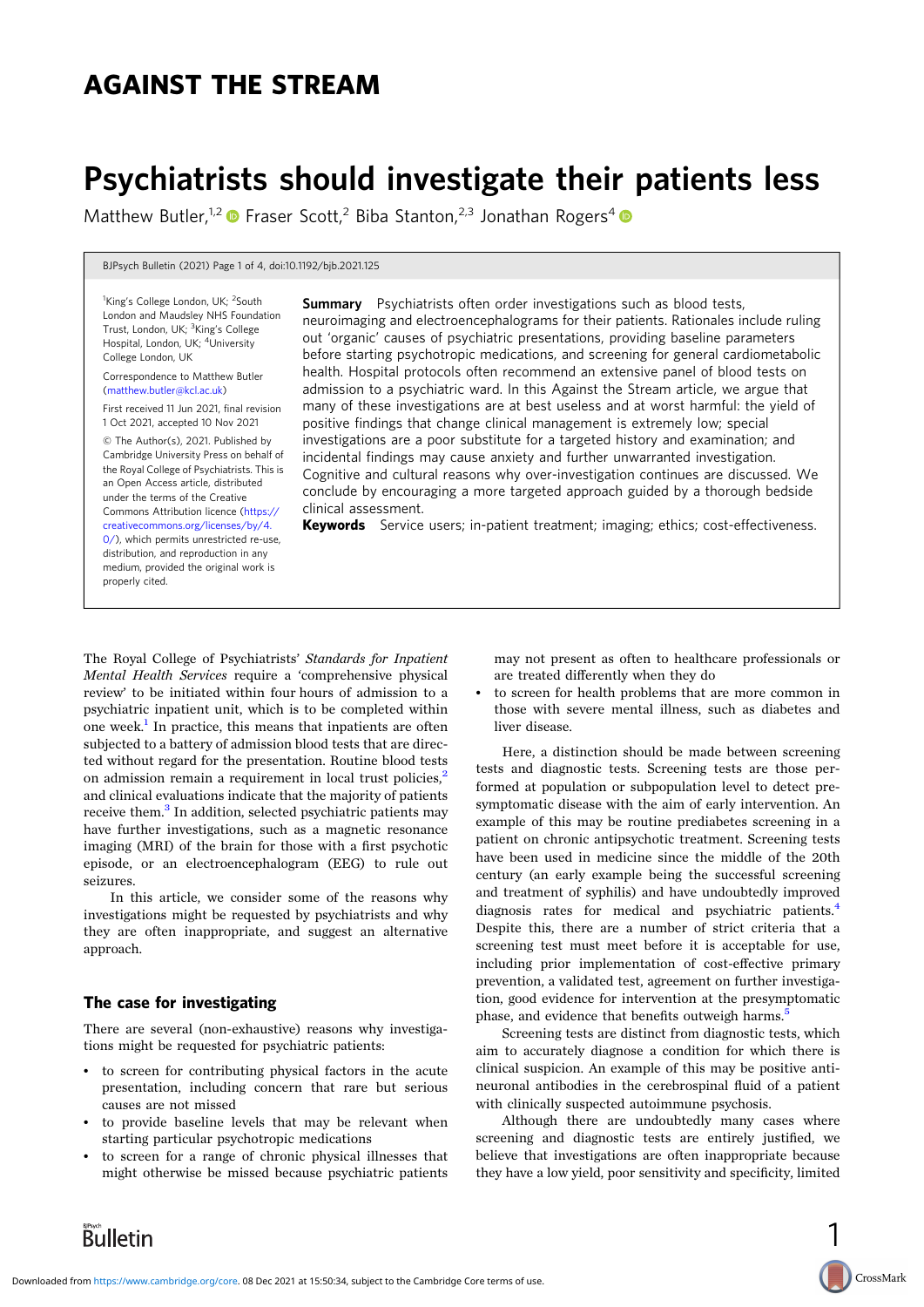# AGAINST THE STREAM

# Psychiatrists should investigate their patients less

Matthew Butler,<sup>1,2</sup> • Fraser Scott,<sup>2</sup> Biba Stanton,<sup>2,3</sup> Jonathan Rogers<sup>4</sup> •

BJPsych Bulletin (2021) Page 1 of 4, doi:10.1192/bjb.2021.125

<sup>1</sup>King's College London, UK; <sup>2</sup>South London and Maudsley NHS Foundation Trust, London, UK; <sup>3</sup>King's College Hospital, London, UK; <sup>4</sup>University College London, UK

Correspondence to Matthew Butler [\(matthew.butler@kcl.ac.uk](mailto:matthew.butler@kcl.ac.uk))

First received 11 Jun 2021, final revision 1 Oct 2021, accepted 10 Nov 2021

© The Author(s), 2021. Published by Cambridge University Press on behalf of the Royal College of Psychiatrists. This is an Open Access article, distributed under the terms of the Creative Commons Attribution licence [\(https://](https://creativecommons.org/licenses/by/4.0/) [creativecommons.org/licenses/by/4.](https://creativecommons.org/licenses/by/4.0/) [0/](https://creativecommons.org/licenses/by/4.0/)), which permits unrestricted re-use, distribution, and reproduction in any medium, provided the original work is properly cited.

**Summary** Psychiatrists often order investigations such as blood tests, neuroimaging and electroencephalograms for their patients. Rationales include ruling out 'organic' causes of psychiatric presentations, providing baseline parameters before starting psychotropic medications, and screening for general cardiometabolic health. Hospital protocols often recommend an extensive panel of blood tests on admission to a psychiatric ward. In this Against the Stream article, we argue that many of these investigations are at best useless and at worst harmful: the yield of positive findings that change clinical management is extremely low; special investigations are a poor substitute for a targeted history and examination; and incidental findings may cause anxiety and further unwarranted investigation. Cognitive and cultural reasons why over-investigation continues are discussed. We conclude by encouraging a more targeted approach guided by a thorough bedside clinical assessment.

Keywords Service users; in-patient treatment; imaging; ethics; cost-effectiveness.

The Royal College of Psychiatrists' Standards for Inpatient Mental Health Services require a 'comprehensive physical review' to be initiated within four hours of admission to a psychiatric inpatient unit, which is to be completed within one week.<sup>[1](#page-3-0)</sup> In practice, this means that inpatients are often subjected to a battery of admission blood tests that are directed without regard for the presentation. Routine blood tests on admission remain a requirement in local trust policies,<sup>[2](#page-3-0)</sup> and clinical evaluations indicate that the majority of patients receive them.<sup>[3](#page-3-0)</sup> In addition, selected psychiatric patients may have further investigations, such as a magnetic resonance imaging (MRI) of the brain for those with a first psychotic episode, or an electroencephalogram (EEG) to rule out seizures.

In this article, we consider some of the reasons why investigations might be requested by psychiatrists and why they are often inappropriate, and suggest an alternative approach.

## The case for investigating

There are several (non-exhaustive) reasons why investigations might be requested for psychiatric patients:

- to screen for contributing physical factors in the acute presentation, including concern that rare but serious causes are not missed
- to provide baseline levels that may be relevant when starting particular psychotropic medications
- to screen for a range of chronic physical illnesses that might otherwise be missed because psychiatric patients

may not present as often to healthcare professionals or are treated differently when they do

to screen for health problems that are more common in those with severe mental illness, such as diabetes and liver disease.

Here, a distinction should be made between screening tests and diagnostic tests. Screening tests are those performed at population or subpopulation level to detect presymptomatic disease with the aim of early intervention. An example of this may be routine prediabetes screening in a patient on chronic antipsychotic treatment. Screening tests have been used in medicine since the middle of the 20th century (an early example being the successful screening and treatment of syphilis) and have undoubtedly improved diagnosis rates for medical and psychiatric patients.<sup>[4](#page-3-0)</sup> Despite this, there are a number of strict criteria that a screening test must meet before it is acceptable for use, including prior implementation of cost-effective primary prevention, a validated test, agreement on further investigation, good evidence for intervention at the presymptomatic phase, and evidence that benefits outweigh harms.<sup>[5](#page-3-0)</sup>

Screening tests are distinct from diagnostic tests, which aim to accurately diagnose a condition for which there is clinical suspicion. An example of this may be positive antineuronal antibodies in the cerebrospinal fluid of a patient with clinically suspected autoimmune psychosis.

Although there are undoubtedly many cases where screening and diagnostic tests are entirely justified, we believe that investigations are often inappropriate because they have a low yield, poor sensitivity and specificity, limited

1

CrossMark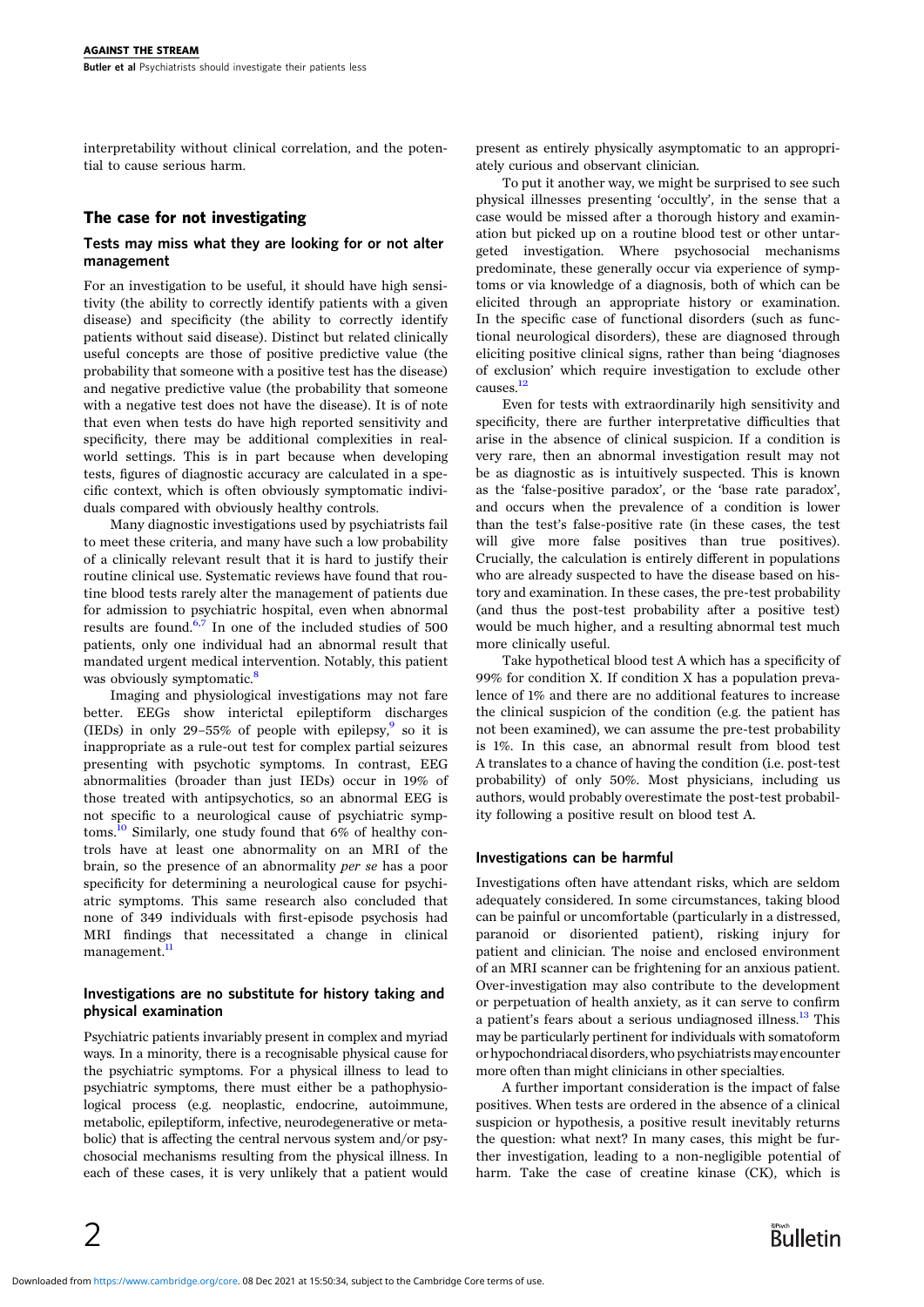interpretability without clinical correlation, and the potential to cause serious harm.

# The case for not investigating

#### Tests may miss what they are looking for or not alter management

For an investigation to be useful, it should have high sensitivity (the ability to correctly identify patients with a given disease) and specificity (the ability to correctly identify patients without said disease). Distinct but related clinically useful concepts are those of positive predictive value (the probability that someone with a positive test has the disease) and negative predictive value (the probability that someone with a negative test does not have the disease). It is of note that even when tests do have high reported sensitivity and specificity, there may be additional complexities in realworld settings. This is in part because when developing tests, figures of diagnostic accuracy are calculated in a specific context, which is often obviously symptomatic individuals compared with obviously healthy controls.

Many diagnostic investigations used by psychiatrists fail to meet these criteria, and many have such a low probability of a clinically relevant result that it is hard to justify their routine clinical use. Systematic reviews have found that routine blood tests rarely alter the management of patients due for admission to psychiatric hospital, even when abnormal results are found.[6,7](#page-3-0) In one of the included studies of 500 patients, only one individual had an abnormal result that mandated urgent medical intervention. Notably, this patient was obviously symptomatic.<sup>[8](#page-3-0)</sup>

Imaging and physiological investigations may not fare better. EEGs show interictal epileptiform discharges (IEDs) in only 2[9](#page-3-0)–55% of people with epilepsy, so it is inappropriate as a rule-out test for complex partial seizures presenting with psychotic symptoms. In contrast, EEG abnormalities (broader than just IEDs) occur in 19% of those treated with antipsychotics, so an abnormal EEG is not specific to a neurological cause of psychiatric symp-toms.<sup>[10](#page-3-0)</sup> Similarly, one study found that 6% of healthy controls have at least one abnormality on an MRI of the brain, so the presence of an abnormality per se has a poor specificity for determining a neurological cause for psychiatric symptoms. This same research also concluded that none of 349 individuals with first-episode psychosis had MRI findings that necessitated a change in clinical management.<sup>[11](#page-3-0)</sup>

#### Investigations are no substitute for history taking and physical examination

Psychiatric patients invariably present in complex and myriad ways. In a minority, there is a recognisable physical cause for the psychiatric symptoms. For a physical illness to lead to psychiatric symptoms, there must either be a pathophysiological process (e.g. neoplastic, endocrine, autoimmune, metabolic, epileptiform, infective, neurodegenerative or metabolic) that is affecting the central nervous system and/or psychosocial mechanisms resulting from the physical illness. In each of these cases, it is very unlikely that a patient would

present as entirely physically asymptomatic to an appropriately curious and observant clinician.

To put it another way, we might be surprised to see such physical illnesses presenting 'occultly', in the sense that a case would be missed after a thorough history and examination but picked up on a routine blood test or other untargeted investigation. Where psychosocial mechanisms predominate, these generally occur via experience of symptoms or via knowledge of a diagnosis, both of which can be elicited through an appropriate history or examination. In the specific case of functional disorders (such as functional neurological disorders), these are diagnosed through eliciting positive clinical signs, rather than being 'diagnoses of exclusion' which require investigation to exclude other causes.<sup>[12](#page-3-0)</sup>

Even for tests with extraordinarily high sensitivity and specificity, there are further interpretative difficulties that arise in the absence of clinical suspicion. If a condition is very rare, then an abnormal investigation result may not be as diagnostic as is intuitively suspected. This is known as the 'false-positive paradox', or the 'base rate paradox', and occurs when the prevalence of a condition is lower than the test's false-positive rate (in these cases, the test will give more false positives than true positives). Crucially, the calculation is entirely different in populations who are already suspected to have the disease based on history and examination. In these cases, the pre-test probability (and thus the post-test probability after a positive test) would be much higher, and a resulting abnormal test much more clinically useful.

Take hypothetical blood test A which has a specificity of 99% for condition X. If condition X has a population prevalence of 1% and there are no additional features to increase the clinical suspicion of the condition (e.g. the patient has not been examined), we can assume the pre-test probability is 1%. In this case, an abnormal result from blood test A translates to a chance of having the condition (i.e. post-test probability) of only 50%. Most physicians, including us authors, would probably overestimate the post-test probability following a positive result on blood test A.

## Investigations can be harmful

Investigations often have attendant risks, which are seldom adequately considered. In some circumstances, taking blood can be painful or uncomfortable (particularly in a distressed, paranoid or disoriented patient), risking injury for patient and clinician. The noise and enclosed environment of an MRI scanner can be frightening for an anxious patient. Over-investigation may also contribute to the development or perpetuation of health anxiety, as it can serve to confirm a patient's fears about a serious undiagnosed illness.<sup>[13](#page-3-0)</sup> This may be particularly pertinent for individuals with somatoform or hypochondriacal disorders, who psychiatrists may encounter more often than might clinicians in other specialties.

A further important consideration is the impact of false positives. When tests are ordered in the absence of a clinical suspicion or hypothesis, a positive result inevitably returns the question: what next? In many cases, this might be further investigation, leading to a non-negligible potential of harm. Take the case of creatine kinase (CK), which is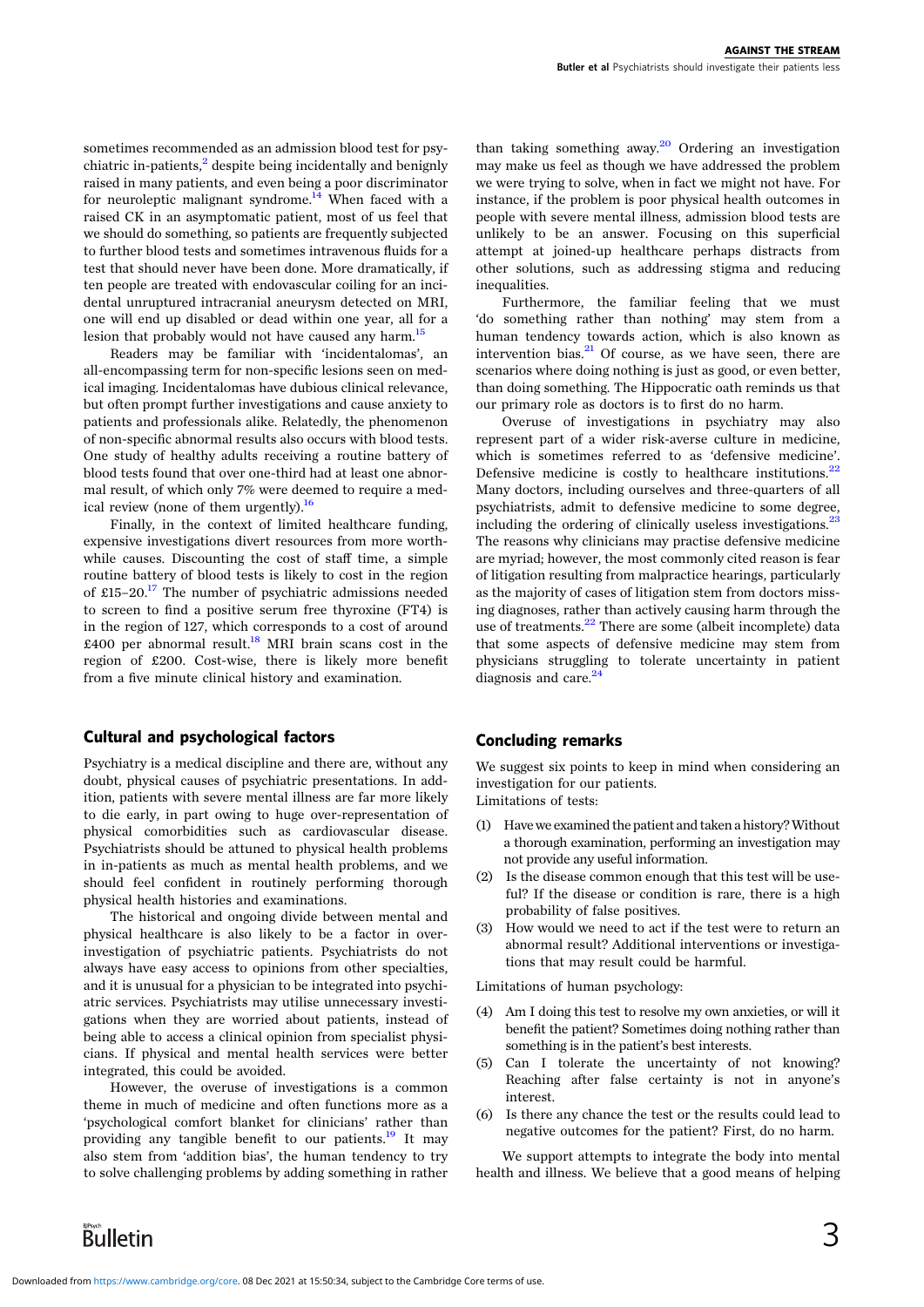sometimes recommended as an admission blood test for psychiatric in-patients, $\frac{2}{3}$  $\frac{2}{3}$  $\frac{2}{3}$  despite being incidentally and benignly raised in many patients, and even being a poor discriminator for neuroleptic malignant syndrome.<sup>14</sup> When faced with a raised CK in an asymptomatic patient, most of us feel that we should do something, so patients are frequently subjected to further blood tests and sometimes intravenous fluids for a test that should never have been done. More dramatically, if ten people are treated with endovascular coiling for an incidental unruptured intracranial aneurysm detected on MRI, one will end up disabled or dead within one year, all for a lesion that probably would not have caused any harm.<sup>[15](#page-3-0)</sup>

Readers may be familiar with 'incidentalomas', an all-encompassing term for non-specific lesions seen on medical imaging. Incidentalomas have dubious clinical relevance, but often prompt further investigations and cause anxiety to patients and professionals alike. Relatedly, the phenomenon of non-specific abnormal results also occurs with blood tests. One study of healthy adults receiving a routine battery of blood tests found that over one-third had at least one abnormal result, of which only 7% were deemed to require a medical review (none of them urgently). $^{16}$  $^{16}$  $^{16}$ 

Finally, in the context of limited healthcare funding, expensive investigations divert resources from more worthwhile causes. Discounting the cost of staff time, a simple routine battery of blood tests is likely to cost in the region of £15–20.<sup>17</sup> The number of psychiatric admissions needed to screen to find a positive serum free thyroxine (FT4) is in the region of 127, which corresponds to a cost of around £400 per abnormal result.<sup>[18](#page-3-0)</sup> MRI brain scans cost in the region of £200. Cost-wise, there is likely more benefit from a five minute clinical history and examination.

## Cultural and psychological factors

Psychiatry is a medical discipline and there are, without any doubt, physical causes of psychiatric presentations. In addition, patients with severe mental illness are far more likely to die early, in part owing to huge over-representation of physical comorbidities such as cardiovascular disease. Psychiatrists should be attuned to physical health problems in in-patients as much as mental health problems, and we should feel confident in routinely performing thorough physical health histories and examinations.

The historical and ongoing divide between mental and physical healthcare is also likely to be a factor in overinvestigation of psychiatric patients. Psychiatrists do not always have easy access to opinions from other specialties, and it is unusual for a physician to be integrated into psychiatric services. Psychiatrists may utilise unnecessary investigations when they are worried about patients, instead of being able to access a clinical opinion from specialist physicians. If physical and mental health services were better integrated, this could be avoided.

However, the overuse of investigations is a common theme in much of medicine and often functions more as a 'psychological comfort blanket for clinicians' rather than providing any tangible benefit to our patients.<sup>[19](#page-3-0)</sup> It may also stem from 'addition bias', the human tendency to try to solve challenging problems by adding something in rather

than taking something away.<sup>20</sup> Ordering an investigation may make us feel as though we have addressed the problem we were trying to solve, when in fact we might not have. For instance, if the problem is poor physical health outcomes in people with severe mental illness, admission blood tests are unlikely to be an answer. Focusing on this superficial attempt at joined-up healthcare perhaps distracts from other solutions, such as addressing stigma and reducing inequalities.

Furthermore, the familiar feeling that we must 'do something rather than nothing' may stem from a human tendency towards action, which is also known as intervention bias. $^{21}$  $^{21}$  $^{21}$  Of course, as we have seen, there are scenarios where doing nothing is just as good, or even better, than doing something. The Hippocratic oath reminds us that our primary role as doctors is to first do no harm.

Overuse of investigations in psychiatry may also represent part of a wider risk-averse culture in medicine, which is sometimes referred to as 'defensive medicine'. Defensive medicine is costly to healthcare institutions. $^{22}$  $^{22}$  $^{22}$ Many doctors, including ourselves and three-quarters of all psychiatrists, admit to defensive medicine to some degree, including the ordering of clinically useless investigations.<sup>2</sup> The reasons why clinicians may practise defensive medicine are myriad; however, the most commonly cited reason is fear of litigation resulting from malpractice hearings, particularly as the majority of cases of litigation stem from doctors missing diagnoses, rather than actively causing harm through the use of treatments.<sup>[22](#page-3-0)</sup> There are some (albeit incomplete) data that some aspects of defensive medicine may stem from physicians struggling to tolerate uncertainty in patient diagnosis and care.<sup>24</sup>

## Concluding remarks

We suggest six points to keep in mind when considering an investigation for our patients.

Limitations of tests:

- (1) Have we examined the patient and taken a history?Without a thorough examination, performing an investigation may not provide any useful information.
- (2) Is the disease common enough that this test will be useful? If the disease or condition is rare, there is a high probability of false positives.
- How would we need to act if the test were to return an abnormal result? Additional interventions or investigations that may result could be harmful.

Limitations of human psychology:

- (4) Am I doing this test to resolve my own anxieties, or will it benefit the patient? Sometimes doing nothing rather than something is in the patient's best interests.
- (5) Can I tolerate the uncertainty of not knowing? Reaching after false certainty is not in anyone's interest.
- (6) Is there any chance the test or the results could lead to negative outcomes for the patient? First, do no harm.

We support attempts to integrate the body into mental health and illness. We believe that a good means of helping

Bulletin